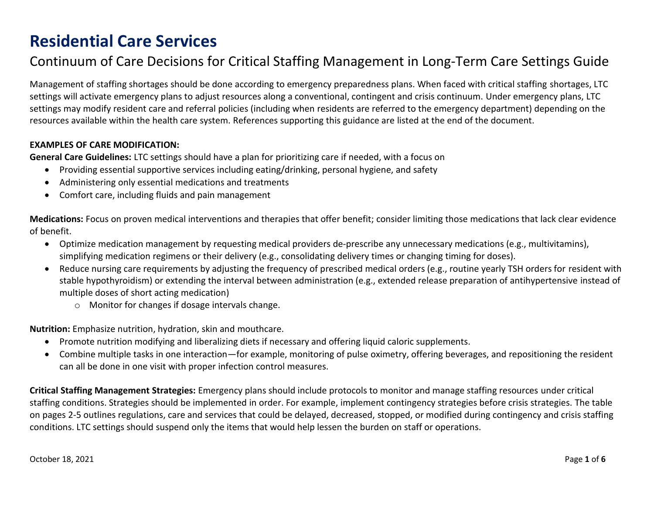#### Continuum of Care Decisions for Critical Staffing Management in Long-Term Care Settings Guide

Management of staffing shortages should be done according to emergency preparedness plans. When faced with critical staffing shortages, LTC settings will activate emergency plans to adjust resources along a conventional, contingent and crisis continuum. Under emergency plans, LTC settings may modify resident care and referral policies (including when residents are referred to the emergency department) depending on the resources available within the health care system. References supporting this guidance are listed at the end of the document.

#### **EXAMPLES OF CARE MODIFICATION:**

**General Care Guidelines:** LTC settings should have a plan for prioritizing care if needed, with a focus on

- Providing essential supportive services including eating/drinking, personal hygiene, and safety
- Administering only essential medications and treatments
- Comfort care, including fluids and pain management

**Medications:** Focus on proven medical interventions and therapies that offer benefit; consider limiting those medications that lack clear evidence of benefit.

- Optimize medication management by requesting medical providers de-prescribe any unnecessary medications (e.g., multivitamins), simplifying medication regimens or their delivery (e.g., consolidating delivery times or changing timing for doses).
- Reduce nursing care requirements by adjusting the frequency of prescribed medical orders (e.g., routine yearly TSH orders for resident with stable hypothyroidism) or extending the interval between administration (e.g., extended release preparation of antihypertensive instead of multiple doses of short acting medication)
	- o Monitor for changes if dosage intervals change.

**Nutrition:** Emphasize nutrition, hydration, skin and mouthcare.

- Promote nutrition modifying and liberalizing diets if necessary and offering liquid caloric supplements.
- Combine multiple tasks in one interaction—for example, monitoring of pulse oximetry, offering beverages, and repositioning the resident can all be done in one visit with proper infection control measures.

**Critical Staffing Management Strategies:** Emergency plans should include protocols to monitor and manage staffing resources under critical staffing conditions. Strategies should be implemented in order. For example, implement contingency strategies before crisis strategies. The table on pages 2-5 outlines regulations, care and services that could be delayed, decreased, stopped, or modified during contingency and crisis staffing conditions. LTC settings should suspend only the items that would help lessen the burden on staff or operations.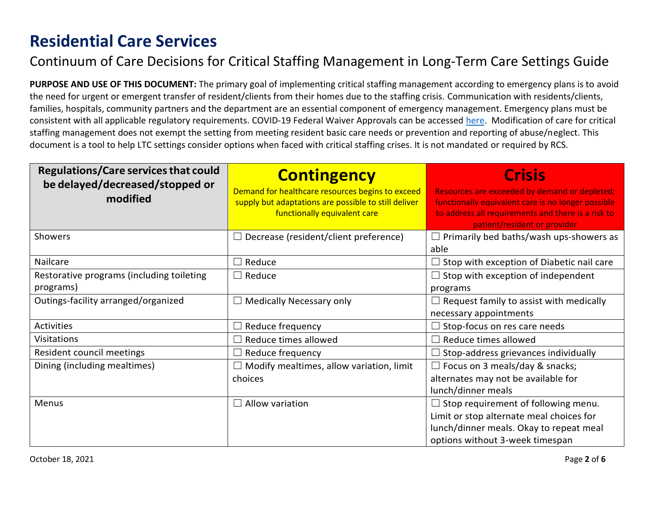#### Continuum of Care Decisions for Critical Staffing Management in Long-Term Care Settings Guide

**PURPOSE AND USE OF THIS DOCUMENT:** The primary goal of implementing critical staffing management according to emergency plans is to avoid the need for urgent or emergent transfer of resident/clients from their homes due to the staffing crisis. Communication with residents/clients, families, hospitals, community partners and the department are an essential component of emergency management. Emergency plans must be consistent with all applicable regulatory requirements. COVID-19 Federal Waiver Approvals can be accessed [here.](https://www.dshs.wa.gov/altsa/covid-19-federal-waiver-approvals) Modification of care for critical staffing management does not exempt the setting from meeting resident basic care needs or prevention and reporting of abuse/neglect. This document is a tool to help LTC settings consider options when faced with critical staffing crises. It is not mandated or required by RCS.

| <b>Regulations/Care services that could</b><br>be delayed/decreased/stopped or<br>modified | <b>Contingency</b><br>Demand for healthcare resources begins to exceed<br>supply but adaptations are possible to still deliver<br>functionally equivalent care | <b>Crisis</b><br>Resources are exceeded by demand or depleted;<br>functionally equivalent care is no longer possible<br>to address all requirements and there is a risk to<br>patient/resident or provider |
|--------------------------------------------------------------------------------------------|----------------------------------------------------------------------------------------------------------------------------------------------------------------|------------------------------------------------------------------------------------------------------------------------------------------------------------------------------------------------------------|
| Showers                                                                                    | Decrease (resident/client preference)                                                                                                                          | Primarily bed baths/wash ups-showers as<br>able                                                                                                                                                            |
| Nailcare                                                                                   | Reduce                                                                                                                                                         | $\Box$ Stop with exception of Diabetic nail care                                                                                                                                                           |
| Restorative programs (including toileting                                                  | $\Box$ Reduce                                                                                                                                                  | $\Box$ Stop with exception of independent                                                                                                                                                                  |
| programs)                                                                                  |                                                                                                                                                                | programs                                                                                                                                                                                                   |
| Outings-facility arranged/organized                                                        | Medically Necessary only                                                                                                                                       | Request family to assist with medically                                                                                                                                                                    |
|                                                                                            |                                                                                                                                                                | necessary appointments                                                                                                                                                                                     |
| <b>Activities</b>                                                                          | Reduce frequency                                                                                                                                               | Stop-focus on res care needs                                                                                                                                                                               |
| <b>Visitations</b>                                                                         | Reduce times allowed                                                                                                                                           | Reduce times allowed                                                                                                                                                                                       |
| Resident council meetings                                                                  | Reduce frequency                                                                                                                                               | Stop-address grievances individually                                                                                                                                                                       |
| Dining (including mealtimes)                                                               | Modify mealtimes, allow variation, limit                                                                                                                       | $\Box$ Focus on 3 meals/day & snacks;                                                                                                                                                                      |
|                                                                                            | choices                                                                                                                                                        | alternates may not be available for                                                                                                                                                                        |
|                                                                                            |                                                                                                                                                                | lunch/dinner meals                                                                                                                                                                                         |
| Menus                                                                                      | Allow variation                                                                                                                                                | $\Box$ Stop requirement of following menu.                                                                                                                                                                 |
|                                                                                            |                                                                                                                                                                | Limit or stop alternate meal choices for                                                                                                                                                                   |
|                                                                                            |                                                                                                                                                                | lunch/dinner meals. Okay to repeat meal                                                                                                                                                                    |
|                                                                                            |                                                                                                                                                                | options without 3-week timespan                                                                                                                                                                            |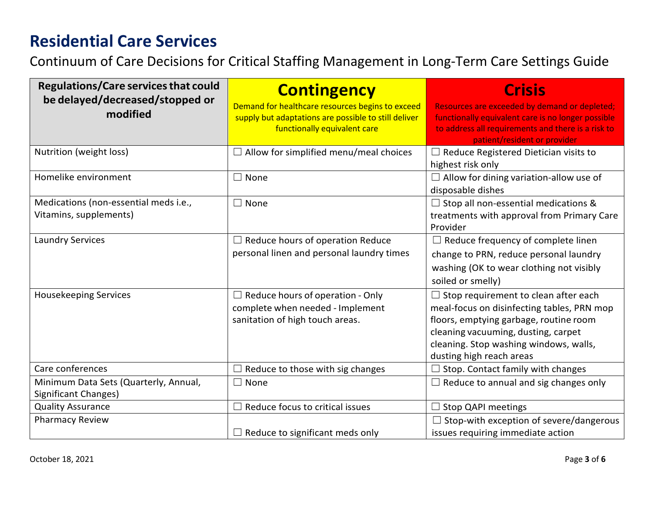Continuum of Care Decisions for Critical Staffing Management in Long-Term Care Settings Guide

| <b>Regulations/Care services that could</b><br>be delayed/decreased/stopped or<br>modified | <b>Contingency</b><br>Demand for healthcare resources begins to exceed<br>supply but adaptations are possible to still deliver<br>functionally equivalent care | <b>Crisis</b><br>Resources are exceeded by demand or depleted;<br>functionally equivalent care is no longer possible<br>to address all requirements and there is a risk to<br>patient/resident or provider                                       |
|--------------------------------------------------------------------------------------------|----------------------------------------------------------------------------------------------------------------------------------------------------------------|--------------------------------------------------------------------------------------------------------------------------------------------------------------------------------------------------------------------------------------------------|
| Nutrition (weight loss)                                                                    | $\Box$ Allow for simplified menu/meal choices                                                                                                                  | $\Box$ Reduce Registered Dietician visits to<br>highest risk only                                                                                                                                                                                |
| Homelike environment                                                                       | $\Box$ None                                                                                                                                                    | $\Box$ Allow for dining variation-allow use of<br>disposable dishes                                                                                                                                                                              |
| Medications (non-essential meds i.e.,<br>Vitamins, supplements)                            | $\Box$ None                                                                                                                                                    | $\Box$ Stop all non-essential medications &<br>treatments with approval from Primary Care<br>Provider                                                                                                                                            |
| <b>Laundry Services</b>                                                                    | $\Box$ Reduce hours of operation Reduce<br>personal linen and personal laundry times                                                                           | $\Box$ Reduce frequency of complete linen<br>change to PRN, reduce personal laundry<br>washing (OK to wear clothing not visibly<br>soiled or smelly)                                                                                             |
| <b>Housekeeping Services</b>                                                               | $\Box$ Reduce hours of operation - Only<br>complete when needed - Implement<br>sanitation of high touch areas.                                                 | $\Box$ Stop requirement to clean after each<br>meal-focus on disinfecting tables, PRN mop<br>floors, emptying garbage, routine room<br>cleaning vacuuming, dusting, carpet<br>cleaning. Stop washing windows, walls,<br>dusting high reach areas |
| Care conferences                                                                           | Reduce to those with sig changes                                                                                                                               | Stop. Contact family with changes                                                                                                                                                                                                                |
| Minimum Data Sets (Quarterly, Annual,<br>Significant Changes)                              | $\Box$ None                                                                                                                                                    | $\Box$ Reduce to annual and sig changes only                                                                                                                                                                                                     |
| <b>Quality Assurance</b>                                                                   | Reduce focus to critical issues<br>$\Box$                                                                                                                      | <b>Stop QAPI meetings</b>                                                                                                                                                                                                                        |
| <b>Pharmacy Review</b>                                                                     | $\Box$ Reduce to significant meds only                                                                                                                         | Stop-with exception of severe/dangerous<br>issues requiring immediate action                                                                                                                                                                     |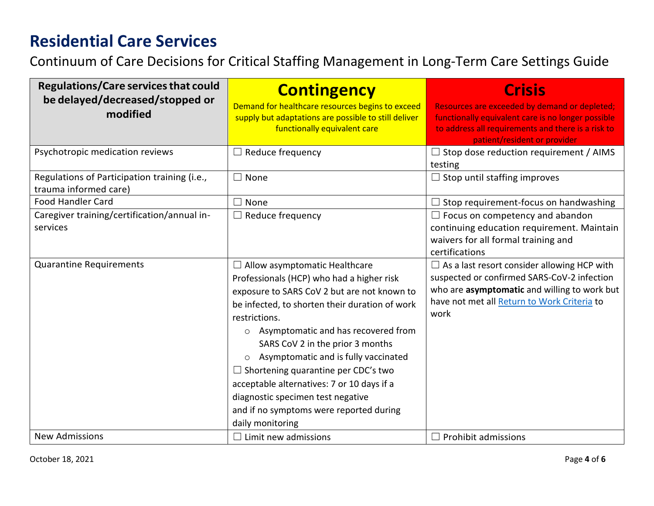Continuum of Care Decisions for Critical Staffing Management in Long-Term Care Settings Guide

| <b>Regulations/Care services that could</b><br>be delayed/decreased/stopped or<br>modified | <b>Contingency</b><br>Demand for healthcare resources begins to exceed<br>supply but adaptations are possible to still deliver<br>functionally equivalent care                                                                                                                                                                                                                                                                                                                                                                               | <b>Crisis</b><br>Resources are exceeded by demand or depleted;<br>functionally equivalent care is no longer possible<br>to address all requirements and there is a risk to<br>patient/resident or provider |
|--------------------------------------------------------------------------------------------|----------------------------------------------------------------------------------------------------------------------------------------------------------------------------------------------------------------------------------------------------------------------------------------------------------------------------------------------------------------------------------------------------------------------------------------------------------------------------------------------------------------------------------------------|------------------------------------------------------------------------------------------------------------------------------------------------------------------------------------------------------------|
| Psychotropic medication reviews                                                            | $\Box$ Reduce frequency                                                                                                                                                                                                                                                                                                                                                                                                                                                                                                                      | $\Box$ Stop dose reduction requirement / AIMS<br>testing                                                                                                                                                   |
| Regulations of Participation training (i.e.,<br>trauma informed care)                      | $\square$ None                                                                                                                                                                                                                                                                                                                                                                                                                                                                                                                               | $\Box$ Stop until staffing improves                                                                                                                                                                        |
| <b>Food Handler Card</b>                                                                   | $\square$ None                                                                                                                                                                                                                                                                                                                                                                                                                                                                                                                               | $\exists$ Stop requirement-focus on handwashing                                                                                                                                                            |
| Caregiver training/certification/annual in-<br>services                                    | $\Box$ Reduce frequency                                                                                                                                                                                                                                                                                                                                                                                                                                                                                                                      | $\Box$ Focus on competency and abandon<br>continuing education requirement. Maintain<br>waivers for all formal training and<br>certifications                                                              |
| <b>Quarantine Requirements</b>                                                             | $\Box$ Allow asymptomatic Healthcare<br>Professionals (HCP) who had a higher risk<br>exposure to SARS CoV 2 but are not known to<br>be infected, to shorten their duration of work<br>restrictions.<br>Asymptomatic and has recovered from<br>$\circ$<br>SARS CoV 2 in the prior 3 months<br>Asymptomatic and is fully vaccinated<br>$\circ$<br>$\Box$ Shortening quarantine per CDC's two<br>acceptable alternatives: 7 or 10 days if a<br>diagnostic specimen test negative<br>and if no symptoms were reported during<br>daily monitoring | $\Box$ As a last resort consider allowing HCP with<br>suspected or confirmed SARS-CoV-2 infection<br>who are asymptomatic and willing to work but<br>have not met all Return to Work Criteria to<br>work   |
| <b>New Admissions</b>                                                                      | $\Box$ Limit new admissions                                                                                                                                                                                                                                                                                                                                                                                                                                                                                                                  | $\Box$ Prohibit admissions                                                                                                                                                                                 |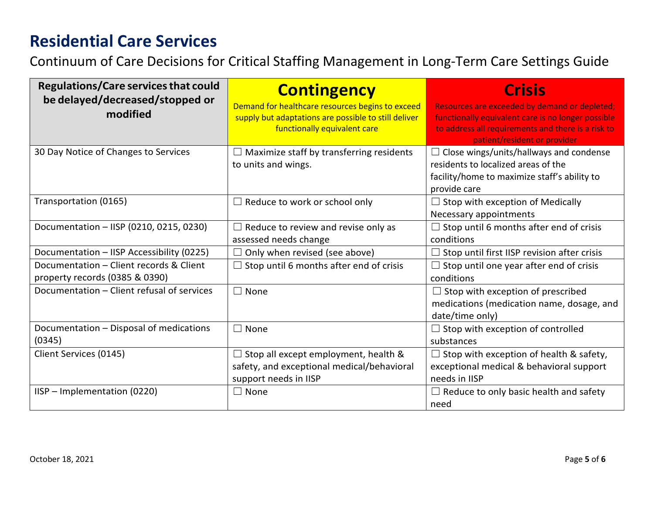Continuum of Care Decisions for Critical Staffing Management in Long-Term Care Settings Guide

| <b>Regulations/Care services that could</b><br>be delayed/decreased/stopped or<br>modified | <b>Contingency</b><br>Demand for healthcare resources begins to exceed<br>supply but adaptations are possible to still deliver<br>functionally equivalent care | <b>Crisis</b><br>Resources are exceeded by demand or depleted;<br>functionally equivalent care is no longer possible<br>to address all requirements and there is a risk to<br>patient/resident or provider |
|--------------------------------------------------------------------------------------------|----------------------------------------------------------------------------------------------------------------------------------------------------------------|------------------------------------------------------------------------------------------------------------------------------------------------------------------------------------------------------------|
| 30 Day Notice of Changes to Services                                                       | Maximize staff by transferring residents<br>to units and wings.                                                                                                | $\Box$ Close wings/units/hallways and condense<br>residents to localized areas of the<br>facility/home to maximize staff's ability to<br>provide care                                                      |
| Transportation (0165)                                                                      | $\Box$ Reduce to work or school only                                                                                                                           | $\Box$ Stop with exception of Medically<br>Necessary appointments                                                                                                                                          |
| Documentation - IISP (0210, 0215, 0230)                                                    | $\Box$ Reduce to review and revise only as<br>assessed needs change                                                                                            | $\Box$ Stop until 6 months after end of crisis<br>conditions                                                                                                                                               |
| Documentation - IISP Accessibility (0225)                                                  | Only when revised (see above)                                                                                                                                  | $\Box$ Stop until first IISP revision after crisis                                                                                                                                                         |
| Documentation - Client records & Client<br>property records (0385 & 0390)                  | $\Box$ Stop until 6 months after end of crisis                                                                                                                 | $\Box$ Stop until one year after end of crisis<br>conditions                                                                                                                                               |
| Documentation - Client refusal of services                                                 | $\Box$ None                                                                                                                                                    | $\Box$ Stop with exception of prescribed<br>medications (medication name, dosage, and<br>date/time only)                                                                                                   |
| Documentation - Disposal of medications<br>(0345)                                          | None<br>$\Box$                                                                                                                                                 | $\Box$ Stop with exception of controlled<br>substances                                                                                                                                                     |
| Client Services (0145)                                                                     | $\Box$ Stop all except employment, health &<br>safety, and exceptional medical/behavioral<br>support needs in IISP                                             | $\Box$ Stop with exception of health & safety,<br>exceptional medical & behavioral support<br>needs in IISP                                                                                                |
| IISP - Implementation (0220)                                                               | $\Box$ None                                                                                                                                                    | $\Box$ Reduce to only basic health and safety<br>need                                                                                                                                                      |